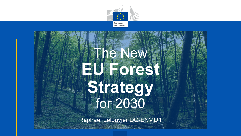

# The New **EU Forest Strategy** for 2030

Raphaël Lelouvier DG-ENV.D1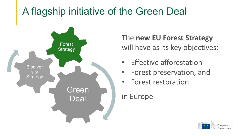### A flagship initiative of the Green Deal



#### The **new EU Forest Strategy**  will have as its key objectives:

- **Effective afforestation**
- Forest preservation, and
- Forest restoration

#### in Europe

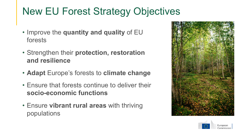### New EU Forest Strategy Objectives

- Improve the **quantity and quality** of EU forests
- Strengthen their **protection, restoration and resilience**
- **Adapt** Europe's forests to **climate change**
- Ensure that forests continue to deliver their **socio-economic functions**
- Ensure **vibrant rural areas** with thriving populations



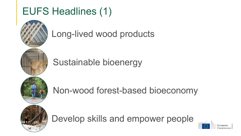### EUFS Headlines (1)



Long-lived wood products

Sustainable bioenergy



Non-wood forest-based bioeconomy



Develop skills and empower people

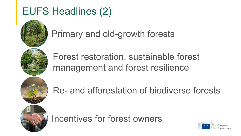### EUFS Headlines (2)



Primary and old-growth forests

Forest restoration, sustainable forest management and forest resilience



Re- and afforestation of biodiverse forests



Incentives for forest owners

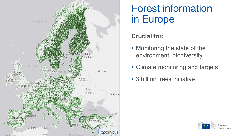

### Forest information in Europe

#### **Crucial for:**

- Monitoring the state of the environment, biodiversity
- Climate monitoring and targets
- 3 billion trees initiative

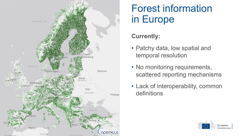

### Forest information in Europe

#### **Currently:**

- Patchy data, low spatial and temporal resolution
- No monitoring requirements, scattered reporting mechanisms
- Lack of interoperability, common definitions

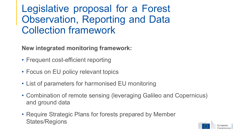### Legislative proposal for a Forest Observation, Reporting and Data Collection framework

#### **New integrated monitoring framework:**

- Frequent cost-efficient reporting
- Focus on EU policy relevant topics
- List of parameters for harmonised EU monitoring
- Combination of remote sensing (leveraging Galileo and Copernicus) and ground data
- Require Strategic Plans for forests prepared by Member States/Regions

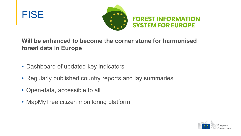



#### **Will be enhanced to become the corner stone for harmonised forest data in Europe**

- Dashboard of updated key indicators
- Regularly published country reports and lay summaries
- Open-data, accessible to all
- MapMyTree citizen monitoring platform